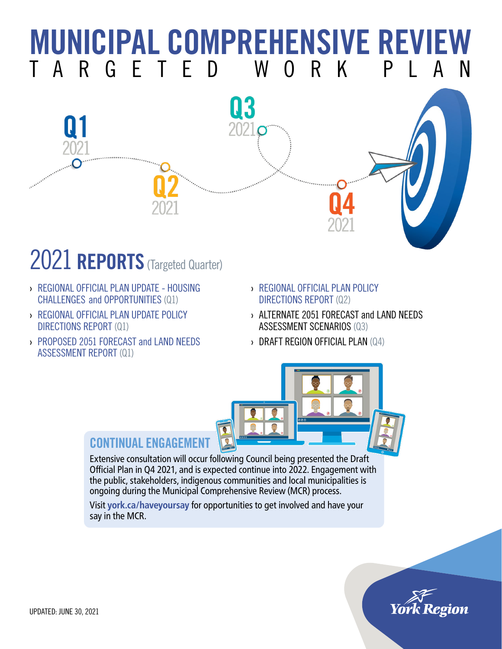## **MUNICIPAL COMPREHENSIVE REVIEW**<br>T A R G E T E D W O R K P L A N TARGFTFD WO



### 2021 **REPORTS** (Targeted Quarter)

- › [REGIONAL OFFICIAL PLAN UPDATE HOUSING](https://yorkpublishing.escribemeetings.com/Meeting.aspx?Id=4ffd59dc-180d-42ae-901f-8eada92b200a&Agenda=Merged&lang=English&Item=30) CHALLENGES [and OPPORTUNITIES](https://yorkpublishing.escribemeetings.com/Meeting.aspx?Id=4ffd59dc-180d-42ae-901f-8eada92b200a&Agenda=Merged&lang=English&Item=30) (Q1)
- › [REGIONAL OFFICIAL PLAN UPDATE POLICY](https://yorkpublishing.escribemeetings.com/Meeting.aspx?Id=86d188d4-fb6e-47c3-8286-ba005fec8f58&Agenda=Merged&lang=English&Item=12&Tab=attachments)  [DIRECTIONS REPORT](https://yorkpublishing.escribemeetings.com/Meeting.aspx?Id=86d188d4-fb6e-47c3-8286-ba005fec8f58&Agenda=Merged&lang=English&Item=12&Tab=attachments) (Q1)
- › [PROPOSED 2051 FORECAST and LAND NEEDS](https://yorkpublishing.escribemeetings.com/Meeting.aspx?Id=86d188d4-fb6e-47c3-8286-ba005fec8f58&Agenda=Merged&lang=English&Item=11&Tab=attachments)  [ASSESSMENT REPORT](https://yorkpublishing.escribemeetings.com/Meeting.aspx?Id=86d188d4-fb6e-47c3-8286-ba005fec8f58&Agenda=Merged&lang=English&Item=11&Tab=attachments) (Q1)
- › REGIONAL OFFICIAL PLAN [POLICY](https://yorkpublishing.escribemeetings.com/Meeting.aspx?Id=1eb6004e-6e53-4b38-87de-4f3a79ffbe1b&Agenda=Merged&lang=English&Item=48&Tab=attachments)  [DIRECTIONS REPORT](https://yorkpublishing.escribemeetings.com/Meeting.aspx?Id=1eb6004e-6e53-4b38-87de-4f3a79ffbe1b&Agenda=Merged&lang=English&Item=48&Tab=attachments) (Q2)
- › ALTERNATE 2051 FORECAST and LAND NEEDS ASSESSMENT SCENARIOS (Q3)
- › DRAFT REGION OFFICIAL PLAN (Q4)



#### CONTINUAL ENGAGEMENT

Extensive consultation will occur following Council being presented the Draft Official Plan in Q4 2021, and is expected continue into 2022. Engagement with the public, stakeholders, indigenous communities and local municipalities is ongoing during the Municipal Comprehensive Review (MCR) process.

Visit **[york.ca/haveyoursay](https://york.ca/haveyoursay)** for opportunities to get involved and have your say in the MCR.